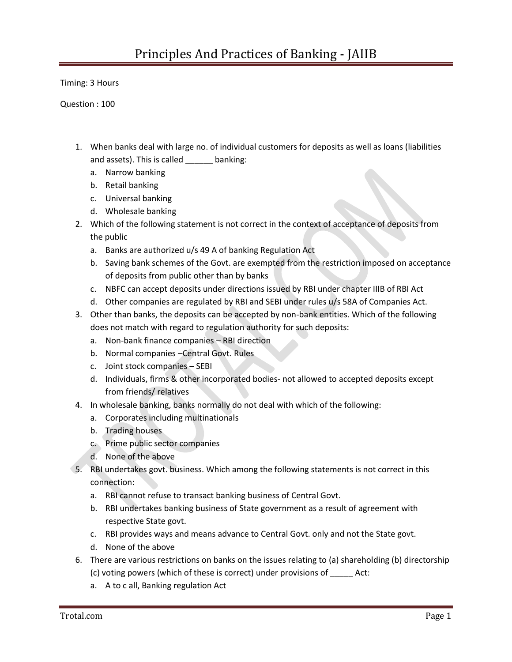Timing: 3 Hours

Question : 100

- 1. When banks deal with large no. of individual customers for deposits as well as loans (liabilities and assets). This is called \_\_\_\_\_ banking:
	- a. Narrow banking
	- b. Retail banking
	- c. Universal banking
	- d. Wholesale banking
- 2. Which of the following statement is not correct in the context of acceptance of deposits from the public
	- a. Banks are authorized u/s 49 A of banking Regulation Act
	- b. Saving bank schemes of the Govt. are exempted from the restriction imposed on acceptance of deposits from public other than by banks
	- c. NBFC can accept deposits under directions issued by RBI under chapter IIIB of RBI Act
	- d. Other companies are regulated by RBI and SEBI under rules u/s 58A of Companies Act.
- 3. Other than banks, the deposits can be accepted by non-bank entities. Which of the following does not match with regard to regulation authority for such deposits:
	- a. Non-bank finance companies RBI direction
	- b. Normal companies –Central Govt. Rules
	- c. Joint stock companies SEBI
	- d. Individuals, firms & other incorporated bodies- not allowed to accepted deposits except from friends/ relatives
- 4. In wholesale banking, banks normally do not deal with which of the following:
	- a. Corporates including multinationals
	- b. Trading houses
	- c. Prime public sector companies
	- d. None of the above
- 5. RBI undertakes govt. business. Which among the following statements is not correct in this connection:
	- a. RBI cannot refuse to transact banking business of Central Govt.
	- b. RBI undertakes banking business of State government as a result of agreement with respective State govt.
	- c. RBI provides ways and means advance to Central Govt. only and not the State govt.
	- d. None of the above
- 6. There are various restrictions on banks on the issues relating to (a) shareholding (b) directorship (c) voting powers (which of these is correct) under provisions of \_\_\_\_\_ Act:
	- a. A to c all, Banking regulation Act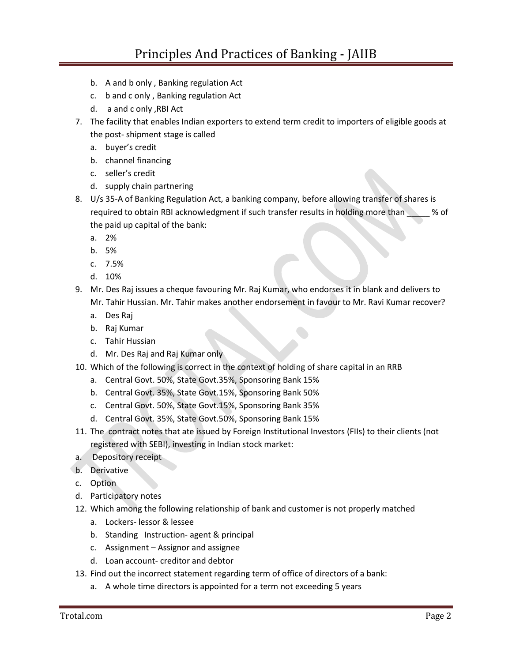- b. A and b only , Banking regulation Act
- c. b and c only , Banking regulation Act
- d. a and c only ,RBI Act
- 7. The facility that enables Indian exporters to extend term credit to importers of eligible goods at the post- shipment stage is called
	- a. buyer's credit
	- b. channel financing
	- c. seller's credit
	- d. supply chain partnering
- 8. U/s 35-A of Banking Regulation Act, a banking company, before allowing transfer of shares is required to obtain RBI acknowledgment if such transfer results in holding more than 30 % of the paid up capital of the bank:
	- a. 2%
	- b. 5%
	- c. 7.5%
	- d. 10%
- 9. Mr. Des Raj issues a cheque favouring Mr. Raj Kumar, who endorses it in blank and delivers to Mr. Tahir Hussian. Mr. Tahir makes another endorsement in favour to Mr. Ravi Kumar recover?
	- a. Des Raj
	- b. Raj Kumar
	- c. Tahir Hussian
	- d. Mr. Des Raj and Raj Kumar only
- 10. Which of the following is correct in the context of holding of share capital in an RRB
	- a. Central Govt. 50%, State Govt.35%, Sponsoring Bank 15%
	- b. Central Govt. 35%, State Govt.15%, Sponsoring Bank 50%
	- c. Central Govt. 50%, State Govt.15%, Sponsoring Bank 35%
	- d. Central Govt. 35%, State Govt.50%, Sponsoring Bank 15%
- 11. The contract notes that ate issued by Foreign Institutional Investors (FIIs) to their clients (not registered with SEBI), investing in Indian stock market:
- a. Depository receipt
- b. Derivative
- c. Option
- d. Participatory notes
- 12. Which among the following relationship of bank and customer is not properly matched
	- a. Lockers- lessor & lessee
	- b. Standing Instruction- agent & principal
	- c. Assignment Assignor and assignee
	- d. Loan account- creditor and debtor
- 13. Find out the incorrect statement regarding term of office of directors of a bank:
	- a. A whole time directors is appointed for a term not exceeding 5 years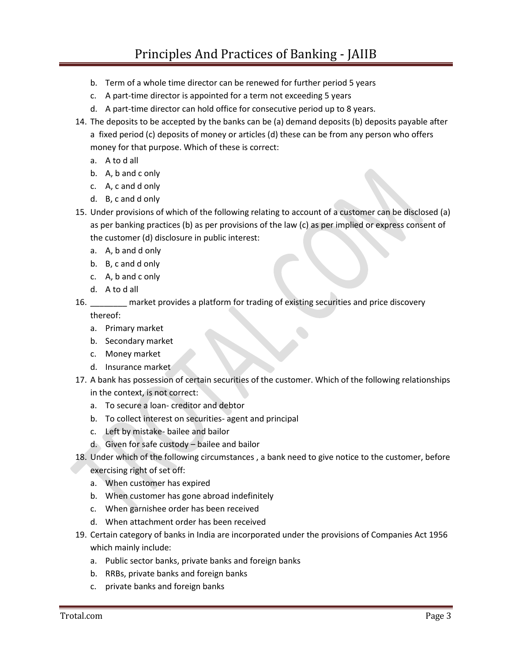- b. Term of a whole time director can be renewed for further period 5 years
- c. A part-time director is appointed for a term not exceeding 5 years
- d. A part-time director can hold office for consecutive period up to 8 years.
- 14. The deposits to be accepted by the banks can be (a) demand deposits (b) deposits payable after a fixed period (c) deposits of money or articles (d) these can be from any person who offers money for that purpose. Which of these is correct:
	- a. A to d all
	- b. A, b and c only
	- c. A, c and d only
	- d. B, c and d only
- 15. Under provisions of which of the following relating to account of a customer can be disclosed (a) as per banking practices (b) as per provisions of the law (c) as per implied or express consent of the customer (d) disclosure in public interest:
	- a. A, b and d only
	- b. B, c and d only
	- c. A, b and c only
	- d. A to d all

16. \_\_\_\_\_\_\_\_ market provides a platform for trading of existing securities and price discovery

thereof:

- a. Primary market
- b. Secondary market
- c. Money market
- d. Insurance market
- 17. A bank has possession of certain securities of the customer. Which of the following relationships in the context, is not correct:
	- a. To secure a loan- creditor and debtor
	- b. To collect interest on securities- agent and principal
	- c. Left by mistake- bailee and bailor
	- d. Given for safe custody bailee and bailor
- 18. Under which of the following circumstances , a bank need to give notice to the customer, before exercising right of set off:
	- a. When customer has expired
	- b. When customer has gone abroad indefinitely
	- c. When garnishee order has been received
	- d. When attachment order has been received
- 19. Certain category of banks in India are incorporated under the provisions of Companies Act 1956 which mainly include:
	- a. Public sector banks, private banks and foreign banks
	- b. RRBs, private banks and foreign banks
	- c. private banks and foreign banks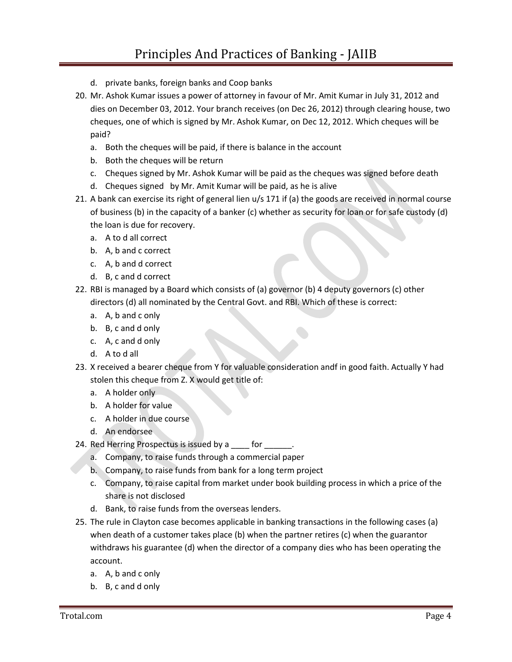- d. private banks, foreign banks and Coop banks
- 20. Mr. Ashok Kumar issues a power of attorney in favour of Mr. Amit Kumar in July 31, 2012 and dies on December 03, 2012. Your branch receives (on Dec 26, 2012) through clearing house, two cheques, one of which is signed by Mr. Ashok Kumar, on Dec 12, 2012. Which cheques will be paid?
	- a. Both the cheques will be paid, if there is balance in the account
	- b. Both the cheques will be return
	- c. Cheques signed by Mr. Ashok Kumar will be paid as the cheques was signed before death
	- d. Cheques signed by Mr. Amit Kumar will be paid, as he is alive
- 21. A bank can exercise its right of general lien u/s 171 if (a) the goods are received in normal course of business (b) in the capacity of a banker (c) whether as security for loan or for safe custody (d) the loan is due for recovery.
	- a. A to d all correct
	- b. A, b and c correct
	- c. A, b and d correct
	- d. B, c and d correct
- 22. RBI is managed by a Board which consists of (a) governor (b) 4 deputy governors (c) other directors (d) all nominated by the Central Govt. and RBI. Which of these is correct:
	- a. A, b and c only
	- b. B, c and d only
	- c. A, c and d only
	- d. A to d all
- 23. X received a bearer cheque from Y for valuable consideration andf in good faith. Actually Y had stolen this cheque from Z. X would get title of:
	- a. A holder only
	- b. A holder for value
	- c. A holder in due course
	- d. An endorsee
- 24. Red Herring Prospectus is issued by a \_\_\_\_ for \_\_\_\_\_.
	- a. Company, to raise funds through a commercial paper
	- b. Company, to raise funds from bank for a long term project
	- c. Company, to raise capital from market under book building process in which a price of the share is not disclosed
	- d. Bank, to raise funds from the overseas lenders.
- 25. The rule in Clayton case becomes applicable in banking transactions in the following cases (a) when death of a customer takes place (b) when the partner retires (c) when the guarantor withdraws his guarantee (d) when the director of a company dies who has been operating the account.
	- a. A, b and c only
	- b. B, c and d only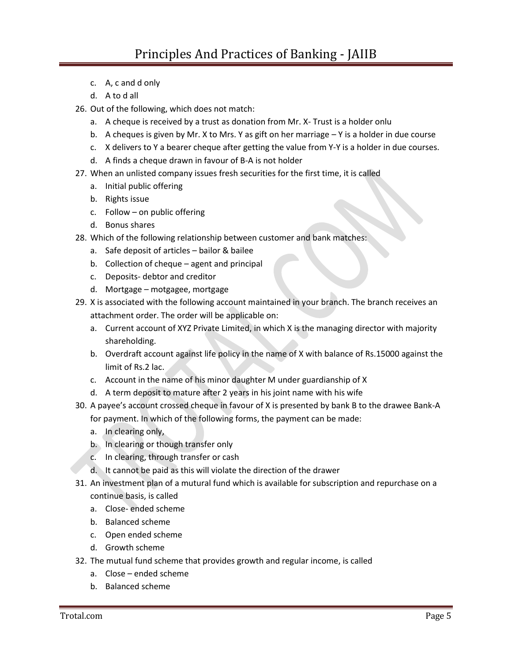- c. A, c and d only
- d. A to d all
- 26. Out of the following, which does not match:
	- a. A cheque is received by a trust as donation from Mr. X- Trust is a holder onlu
	- b. A cheques is given by Mr. X to Mrs. Y as gift on her marriage  $-Y$  is a holder in due course
	- c. X delivers to Y a bearer cheque after getting the value from Y-Y is a holder in due courses.
	- d. A finds a cheque drawn in favour of B-A is not holder
- 27. When an unlisted company issues fresh securities for the first time, it is called
	- a. Initial public offering
	- b. Rights issue
	- c. Follow on public offering
	- d. Bonus shares
- 28. Which of the following relationship between customer and bank matches:
	- a. Safe deposit of articles bailor & bailee
	- b. Collection of cheque agent and principal
	- c. Deposits- debtor and creditor
	- d. Mortgage motgagee, mortgage
- 29. X is associated with the following account maintained in your branch. The branch receives an attachment order. The order will be applicable on:
	- a. Current account of XYZ Private Limited, in which X is the managing director with majority shareholding.
	- b. Overdraft account against life policy in the name of X with balance of Rs.15000 against the limit of Rs.2 lac.
	- c. Account in the name of his minor daughter M under guardianship of X
	- d. A term deposit to mature after 2 years in his joint name with his wife
- 30. A payee's account crossed cheque in favour of X is presented by bank B to the drawee Bank-A for payment. In which of the following forms, the payment can be made:
	- a. In clearing only,
	- b. In clearing or though transfer only
	- c. In clearing, through transfer or cash
	- d. It cannot be paid as this will violate the direction of the drawer
- 31. An investment plan of a mutural fund which is available for subscription and repurchase on a continue basis, is called
	- a. Close- ended scheme
	- b. Balanced scheme
	- c. Open ended scheme
	- d. Growth scheme
- 32. The mutual fund scheme that provides growth and regular income, is called
	- a. Close ended scheme
	- b. Balanced scheme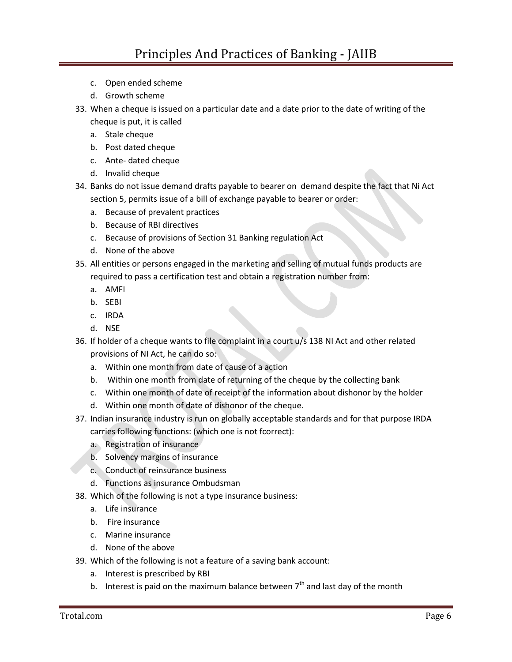- c. Open ended scheme
- d. Growth scheme
- 33. When a cheque is issued on a particular date and a date prior to the date of writing of the
	- cheque is put, it is called
	- a. Stale cheque
	- b. Post dated cheque
	- c. Ante- dated cheque
	- d. Invalid cheque
- 34. Banks do not issue demand drafts payable to bearer on demand despite the fact that Ni Act section 5, permits issue of a bill of exchange payable to bearer or order:
	- a. Because of prevalent practices
	- b. Because of RBI directives
	- c. Because of provisions of Section 31 Banking regulation Act
	- d. None of the above
- 35. All entities or persons engaged in the marketing and selling of mutual funds products are required to pass a certification test and obtain a registration number from:
	- a. AMFI
	- b. SEBI
	- c. IRDA
	- d. NSE
- 36. If holder of a cheque wants to file complaint in a court u/s 138 NI Act and other related provisions of NI Act, he can do so:
	- a. Within one month from date of cause of a action
	- b. Within one month from date of returning of the cheque by the collecting bank
	- c. Within one month of date of receipt of the information about dishonor by the holder
	- d. Within one month of date of dishonor of the cheque.
- 37. Indian insurance industry is run on globally acceptable standards and for that purpose IRDA carries following functions: (which one is not fcorrect):
	- a. Registration of insurance
	- b. Solvency margins of insurance
	- c. Conduct of reinsurance business
	- d. Functions as insurance Ombudsman
- 38. Which of the following is not a type insurance business:
	- a. Life insurance
	- b. Fire insurance
	- c. Marine insurance
	- d. None of the above
- 39. Which of the following is not a feature of a saving bank account:
	- a. Interest is prescribed by RBI
	- b. Interest is paid on the maximum balance between  $7<sup>th</sup>$  and last day of the month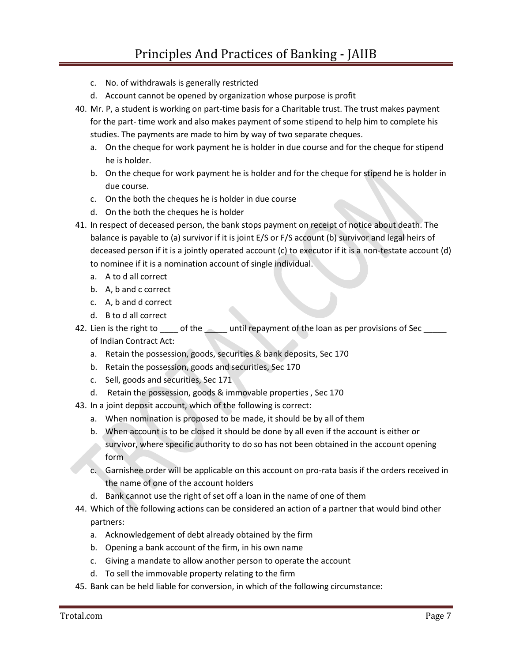- c. No. of withdrawals is generally restricted
- d. Account cannot be opened by organization whose purpose is profit
- 40. Mr. P, a student is working on part-time basis for a Charitable trust. The trust makes payment for the part- time work and also makes payment of some stipend to help him to complete his studies. The payments are made to him by way of two separate cheques.
	- a. On the cheque for work payment he is holder in due course and for the cheque for stipend he is holder.
	- b. On the cheque for work payment he is holder and for the cheque for stipend he is holder in due course.
	- c. On the both the cheques he is holder in due course
	- d. On the both the cheques he is holder
- 41. In respect of deceased person, the bank stops payment on receipt of notice about death. The balance is payable to (a) survivor if it is joint E/S or F/S account (b) survivor and legal heirs of deceased person if it is a jointly operated account (c) to executor if it is a non-testate account (d) to nominee if it is a nomination account of single individual.
	- a. A to d all correct
	- b. A, b and c correct
	- c. A, b and d correct
	- d. B to d all correct
- 42. Lien is the right to \_\_\_\_\_ of the \_\_\_\_\_ until repayment of the loan as per provisions of Sec \_\_\_\_\_ of Indian Contract Act:
	- a. Retain the possession, goods, securities & bank deposits, Sec 170
	- b. Retain the possession, goods and securities, Sec 170
	- c. Sell, goods and securities, Sec 171
	- d. Retain the possession, goods & immovable properties , Sec 170
- 43. In a joint deposit account, which of the following is correct:
	- a. When nomination is proposed to be made, it should be by all of them
	- b. When account is to be closed it should be done by all even if the account is either or survivor, where specific authority to do so has not been obtained in the account opening form
	- c. Garnishee order will be applicable on this account on pro-rata basis if the orders received in the name of one of the account holders
	- d. Bank cannot use the right of set off a loan in the name of one of them
- 44. Which of the following actions can be considered an action of a partner that would bind other partners:
	- a. Acknowledgement of debt already obtained by the firm
	- b. Opening a bank account of the firm, in his own name
	- c. Giving a mandate to allow another person to operate the account
	- d. To sell the immovable property relating to the firm
- 45. Bank can be held liable for conversion, in which of the following circumstance: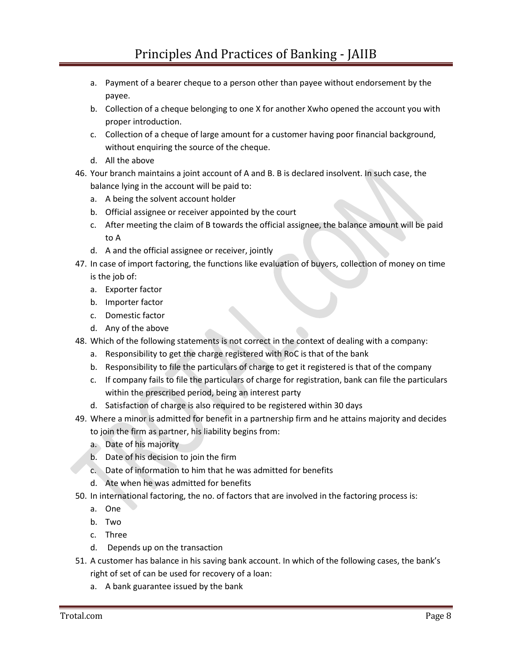- a. Payment of a bearer cheque to a person other than payee without endorsement by the payee.
- b. Collection of a cheque belonging to one X for another Xwho opened the account you with proper introduction.
- c. Collection of a cheque of large amount for a customer having poor financial background, without enquiring the source of the cheque.
- d. All the above
- 46. Your branch maintains a joint account of A and B. B is declared insolvent. In such case, the balance lying in the account will be paid to:
	- a. A being the solvent account holder
	- b. Official assignee or receiver appointed by the court
	- c. After meeting the claim of B towards the official assignee, the balance amount will be paid to A
	- d. A and the official assignee or receiver, jointly
- 47. In case of import factoring, the functions like evaluation of buyers, collection of money on time is the job of:
	- a. Exporter factor
	- b. Importer factor
	- c. Domestic factor
	- d. Any of the above
- 48. Which of the following statements is not correct in the context of dealing with a company:
	- a. Responsibility to get the charge registered with RoC is that of the bank
	- b. Responsibility to file the particulars of charge to get it registered is that of the company
	- c. If company fails to file the particulars of charge for registration, bank can file the particulars within the prescribed period, being an interest party
	- d. Satisfaction of charge is also required to be registered within 30 days
- 49. Where a minor is admitted for benefit in a partnership firm and he attains majority and decides to join the firm as partner, his liability begins from:
	- a. Date of his majority
	- b. Date of his decision to join the firm
	- c. Date of information to him that he was admitted for benefits
	- d. Ate when he was admitted for benefits
- 50. In international factoring, the no. of factors that are involved in the factoring process is:
	- a. One
	- b. Two
	- c. Three
	- d. Depends up on the transaction
- 51. A customer has balance in his saving bank account. In which of the following cases, the bank's right of set of can be used for recovery of a loan:
	- a. A bank guarantee issued by the bank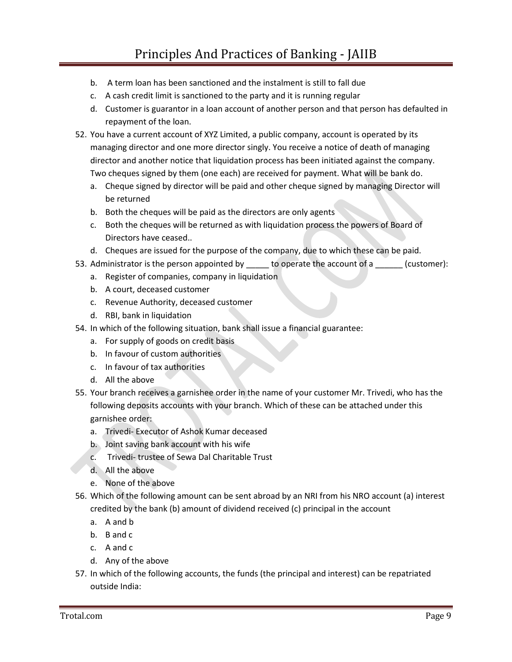- b. A term loan has been sanctioned and the instalment is still to fall due
- c. A cash credit limit is sanctioned to the party and it is running regular
- d. Customer is guarantor in a loan account of another person and that person has defaulted in repayment of the loan.
- 52. You have a current account of XYZ Limited, a public company, account is operated by its managing director and one more director singly. You receive a notice of death of managing director and another notice that liquidation process has been initiated against the company. Two cheques signed by them (one each) are received for payment. What will be bank do.
	- a. Cheque signed by director will be paid and other cheque signed by managing Director will be returned
	- b. Both the cheques will be paid as the directors are only agents
	- c. Both the cheques will be returned as with liquidation process the powers of Board of Directors have ceased..
	- d. Cheques are issued for the purpose of the company, due to which these can be paid.
- 53. Administrator is the person appointed by do operate the account of a customer):
	- a. Register of companies, company in liquidation
	- b. A court, deceased customer
	- c. Revenue Authority, deceased customer
	- d. RBI, bank in liquidation
- 54. In which of the following situation, bank shall issue a financial guarantee:
	- a. For supply of goods on credit basis
	- b. In favour of custom authorities
	- c. In favour of tax authorities
	- d. All the above
- 55. Your branch receives a garnishee order in the name of your customer Mr. Trivedi, who has the following deposits accounts with your branch. Which of these can be attached under this garnishee order:
	- a. Trivedi- Executor of Ashok Kumar deceased
	- b. Joint saving bank account with his wife
	- c. Trivedi- trustee of Sewa Dal Charitable Trust
	- d. All the above
	- e. None of the above
- 56. Which of the following amount can be sent abroad by an NRI from his NRO account (a) interest credited by the bank (b) amount of dividend received (c) principal in the account
	- a. A and b
	- b. B and c
	- c. A and c
	- d. Any of the above
- 57. In which of the following accounts, the funds (the principal and interest) can be repatriated outside India: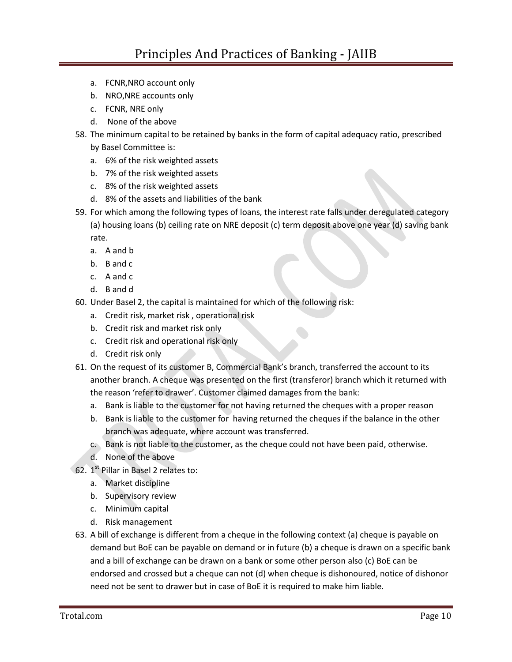- a. FCNR,NRO account only
- b. NRO,NRE accounts only
- c. FCNR, NRE only
- d. None of the above
- 58. The minimum capital to be retained by banks in the form of capital adequacy ratio, prescribed by Basel Committee is:
	- a. 6% of the risk weighted assets
	- b. 7% of the risk weighted assets
	- c. 8% of the risk weighted assets
	- d. 8% of the assets and liabilities of the bank
- 59. For which among the following types of loans, the interest rate falls under deregulated category (a) housing loans (b) ceiling rate on NRE deposit (c) term deposit above one year (d) saving bank rate.
	- a. A and b
	- b. B and c
	- c. A and c
	- d. B and d
- 60. Under Basel 2, the capital is maintained for which of the following risk:
	- a. Credit risk, market risk , operational risk
	- b. Credit risk and market risk only
	- c. Credit risk and operational risk only
	- d. Credit risk only
- 61. On the request of its customer B, Commercial Bank's branch, transferred the account to its another branch. A cheque was presented on the first (transferor) branch which it returned with the reason 'refer to drawer'. Customer claimed damages from the bank:
	- a. Bank is liable to the customer for not having returned the cheques with a proper reason
	- b. Bank is liable to the customer for having returned the cheques if the balance in the other branch was adequate, where account was transferred.
	- c. Bank is not liable to the customer, as the cheque could not have been paid, otherwise.
	- d. None of the above
- 62. 1<sup>st</sup> Pillar in Basel 2 relates to:
	- a. Market discipline
	- b. Supervisory review
	- c. Minimum capital
	- d. Risk management
- 63. A bill of exchange is different from a cheque in the following context (a) cheque is payable on demand but BoE can be payable on demand or in future (b) a cheque is drawn on a specific bank and a bill of exchange can be drawn on a bank or some other person also (c) BoE can be endorsed and crossed but a cheque can not (d) when cheque is dishonoured, notice of dishonor need not be sent to drawer but in case of BoE it is required to make him liable.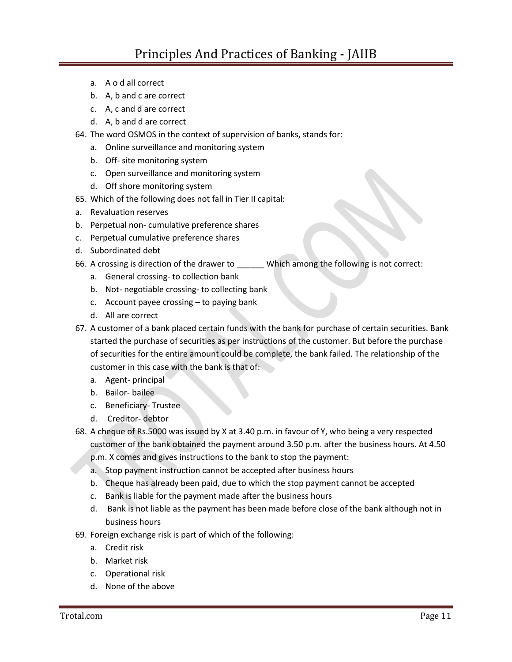- a. A o d all correct
- b. A, b and c are correct
- c. A, c and d are correct
- d. A, b and d are correct
- 64. The word OSMOS in the context of supervision of banks, stands for:
	- a. Online surveillance and monitoring system
	- b. Off- site monitoring system
	- c. Open surveillance and monitoring system
	- d. Off shore monitoring system
- 65. Which of the following does not fall in Tier II capital:
- a. Revaluation reserves
- b. Perpetual non- cumulative preference shares
- c. Perpetual cumulative preference shares
- d. Subordinated debt
- 66. A crossing is direction of the drawer to \_\_\_\_\_\_ Which among the following is not correct:
	- a. General crossing- to collection bank
	- b. Not- negotiable crossing- to collecting bank
	- c. Account payee crossing to paying bank
	- d. All are correct
- 67. A customer of a bank placed certain funds with the bank for purchase of certain securities. Bank started the purchase of securities as per instructions of the customer. But before the purchase of securities for the entire amount could be complete, the bank failed. The relationship of the customer in this case with the bank is that of:
	- a. Agent- principal
	- b. Bailor- bailee
	- c. Beneficiary- Trustee
	- d. Creditor- debtor
- 68. A cheque of Rs.5000 was issued by X at 3.40 p.m. in favour of Y, who being a very respected customer of the bank obtained the payment around 3.50 p.m. after the business hours. At 4.50
	- p.m. X comes and gives instructions to the bank to stop the payment:
	- a. Stop payment instruction cannot be accepted after business hours
	- b. Cheque has already been paid, due to which the stop payment cannot be accepted
	- c. Bank is liable for the payment made after the business hours
	- d. Bank is not liable as the payment has been made before close of the bank although not in business hours
- 69. Foreign exchange risk is part of which of the following:
	- a. Credit risk
	- b. Market risk
	- c. Operational risk
	- d. None of the above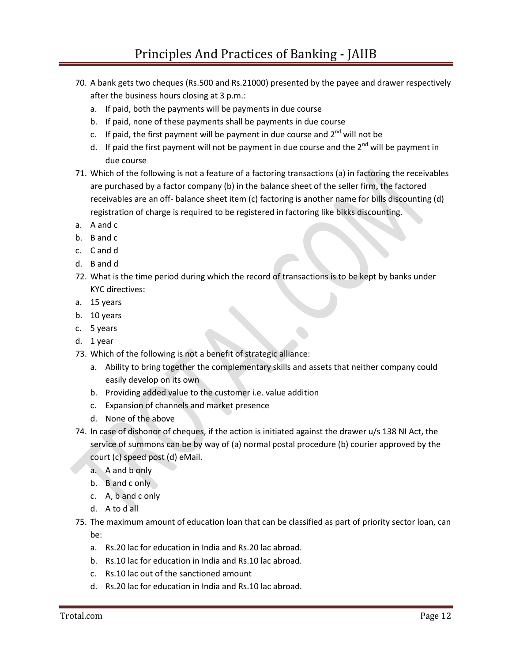- 70. A bank gets two cheques (Rs.500 and Rs.21000) presented by the payee and drawer respectively after the business hours closing at 3 p.m.:
	- a. If paid, both the payments will be payments in due course
	- b. If paid, none of these payments shall be payments in due course
	- c. If paid, the first payment will be payment in due course and  $2^{nd}$  will not be
	- d. If paid the first payment will not be payment in due course and the  $2^{nd}$  will be payment in due course
- 71. Which of the following is not a feature of a factoring transactions (a) in factoring the receivables are purchased by a factor company (b) in the balance sheet of the seller firm, the factored receivables are an off- balance sheet item (c) factoring is another name for bills discounting (d) registration of charge is required to be registered in factoring like bikks discounting.
- a. A and c
- b. B and c
- c. C and d
- d. B and d
- 72. What is the time period during which the record of transactions is to be kept by banks under KYC directives:
- a. 15 years
- b. 10 years
- c. 5 years
- d. 1 year
- 73. Which of the following is not a benefit of strategic alliance:
	- a. Ability to bring together the complementary skills and assets that neither company could easily develop on its own
	- b. Providing added value to the customer i.e. value addition
	- c. Expansion of channels and market presence
	- d. None of the above
- 74. In case of dishonor of cheques, if the action is initiated against the drawer u/s 138 NI Act, the service of summons can be by way of (a) normal postal procedure (b) courier approved by the court (c) speed post (d) eMail.
	- a. A and b only
	- b. B and c only
	- c. A, b and c only
	- d. A to d all
- 75. The maximum amount of education loan that can be classified as part of priority sector loan, can be:
	- a. Rs.20 lac for education in India and Rs.20 lac abroad.
	- b. Rs.10 lac for education in India and Rs.10 lac abroad.
	- c. Rs.10 lac out of the sanctioned amount
	- d. Rs.20 lac for education in India and Rs.10 lac abroad.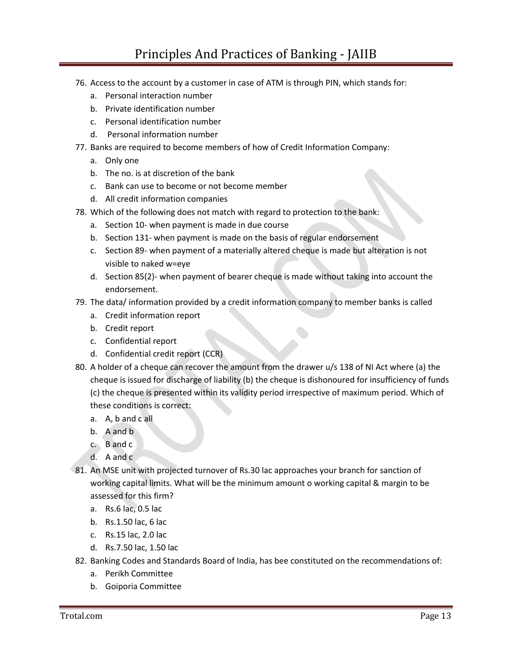## Principles And Practices of Banking - JAIIB

- 76. Access to the account by a customer in case of ATM is through PIN, which stands for:
	- a. Personal interaction number
	- b. Private identification number
	- c. Personal identification number
	- d. Personal information number
- 77. Banks are required to become members of how of Credit Information Company:
	- a. Only one
	- b. The no. is at discretion of the bank
	- c. Bank can use to become or not become member
	- d. All credit information companies
- 78. Which of the following does not match with regard to protection to the bank:
	- a. Section 10- when payment is made in due course
	- b. Section 131- when payment is made on the basis of regular endorsement
	- c. Section 89- when payment of a materially altered cheque is made but alteration is not visible to naked w=eye
	- d. Section 85(2)- when payment of bearer cheque is made without taking into account the endorsement.
- 79. The data/ information provided by a credit information company to member banks is called
	- a. Credit information report
	- b. Credit report
	- c. Confidential report
	- d. Confidential credit report (CCR)
- 80. A holder of a cheque can recover the amount from the drawer u/s 138 of NI Act where (a) the cheque is issued for discharge of liability (b) the cheque is dishonoured for insufficiency of funds (c) the cheque is presented within its validity period irrespective of maximum period. Which of these conditions is correct:
	- a. A, b and c all
	- b. A and b
	- c. B and c
	- d. A and c
- 81. An MSE unit with projected turnover of Rs.30 lac approaches your branch for sanction of working capital limits. What will be the minimum amount o working capital & margin to be assessed for this firm?
	- a. Rs.6 lac, 0.5 lac
	- b. Rs.1.50 lac, 6 lac
	- c. Rs.15 lac, 2.0 lac
	- d. Rs.7.50 lac, 1.50 lac
- 82. Banking Codes and Standards Board of India, has bee constituted on the recommendations of:
	- a. Perikh Committee
	- b. Goiporia Committee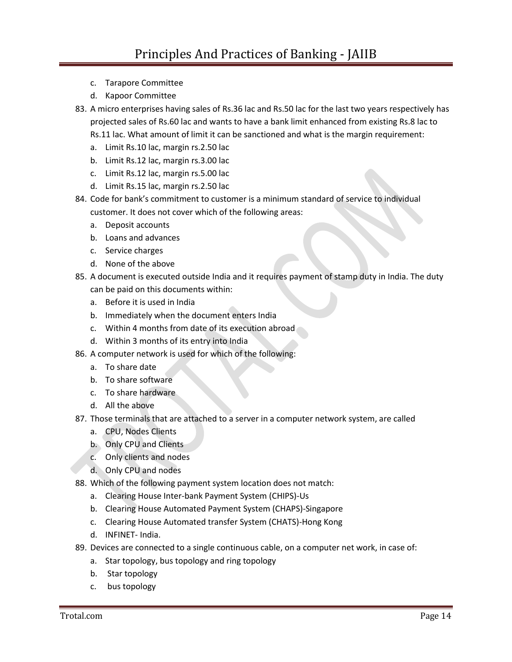- c. Tarapore Committee
- d. Kapoor Committee
- 83. A micro enterprises having sales of Rs.36 lac and Rs.50 lac for the last two years respectively has projected sales of Rs.60 lac and wants to have a bank limit enhanced from existing Rs.8 lac to Rs.11 lac. What amount of limit it can be sanctioned and what is the margin requirement:
	- a. Limit Rs.10 lac, margin rs.2.50 lac
	- b. Limit Rs.12 lac, margin rs.3.00 lac
	- c. Limit Rs.12 lac, margin rs.5.00 lac
	- d. Limit Rs.15 lac, margin rs.2.50 lac
- 84. Code for bank's commitment to customer is a minimum standard of service to individual customer. It does not cover which of the following areas:
	- a. Deposit accounts
	- b. Loans and advances
	- c. Service charges
	- d. None of the above
- 85. A document is executed outside India and it requires payment of stamp duty in India. The duty can be paid on this documents within:
	- a. Before it is used in India
	- b. Immediately when the document enters India
	- c. Within 4 months from date of its execution abroad
	- d. Within 3 months of its entry into India
- 86. A computer network is used for which of the following:
	- a. To share date
	- b. To share software
	- c. To share hardware
	- d. All the above
- 87. Those terminals that are attached to a server in a computer network system, are called
	- a. CPU, Nodes Clients
	- b. Only CPU and Clients
	- c. Only clients and nodes
	- d. Only CPU and nodes
- 88. Which of the following payment system location does not match:
	- a. Clearing House Inter-bank Payment System (CHIPS)-Us
	- b. Clearing House Automated Payment System (CHAPS)-Singapore
	- c. Clearing House Automated transfer System (CHATS)-Hong Kong
	- d. INFINET- India.
- 89. Devices are connected to a single continuous cable, on a computer net work, in case of:
	- a. Star topology, bus topology and ring topology
	- b. Star topology
	- c. bus topology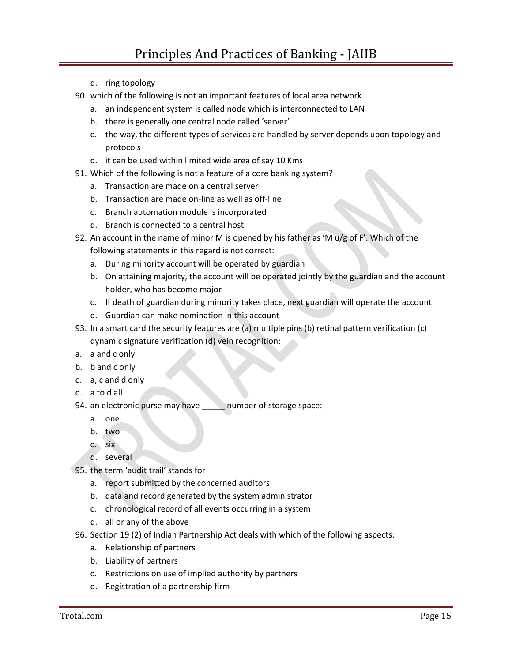- d. ring topology
- 90. which of the following is not an important features of local area network
	- a. an independent system is called node which is interconnected to LAN
	- b. there is generally one central node called 'server'
	- c. the way, the different types of services are handled by server depends upon topology and protocols
	- d. it can be used within limited wide area of say 10 Kms
- 91. Which of the following is not a feature of a core banking system?
	- a. Transaction are made on a central server
	- b. Transaction are made on-line as well as off-line
	- c. Branch automation module is incorporated
	- d. Branch is connected to a central host
- 92. An account in the name of minor M is opened by his father as 'M  $u/g$  of F'. Which of the following statements in this regard is not correct:
	- a. During minority account will be operated by guardian
	- b. On attaining majority, the account will be operated jointly by the guardian and the account holder, who has become major
	- c. If death of guardian during minority takes place, next guardian will operate the account
	- d. Guardian can make nomination in this account
- 93. In a smart card the security features are (a) multiple pins (b) retinal pattern verification (c) dynamic signature verification (d) vein recognition:
- a. a and c only
- b. b and c only
- c. a, c and d only
- d. a to d all
- 94. an electronic purse may have humber of storage space:
	- a. one
	- b. two
	- c. six
	- d. several
- 95. the term 'audit trail' stands for
	- a. report submitted by the concerned auditors
	- b. data and record generated by the system administrator
	- c. chronological record of all events occurring in a system
	- d. all or any of the above
- 96. Section 19 (2) of Indian Partnership Act deals with which of the following aspects:
	- a. Relationship of partners
	- b. Liability of partners
	- c. Restrictions on use of implied authority by partners
	- d. Registration of a partnership firm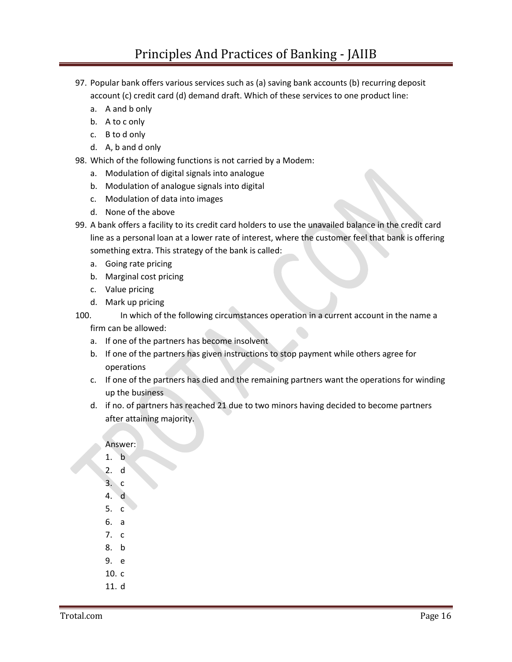- 97. Popular bank offers various services such as (a) saving bank accounts (b) recurring deposit account (c) credit card (d) demand draft. Which of these services to one product line:
	- a. A and b only
	- b. A to c only
	- c. B to d only
	- d. A, b and d only
- 98. Which of the following functions is not carried by a Modem:
	- a. Modulation of digital signals into analogue
	- b. Modulation of analogue signals into digital
	- c. Modulation of data into images
	- d. None of the above
- 99. A bank offers a facility to its credit card holders to use the unavailed balance in the credit card line as a personal loan at a lower rate of interest, where the customer feel that bank is offering something extra. This strategy of the bank is called:
	- a. Going rate pricing
	- b. Marginal cost pricing
	- c. Value pricing
	- d. Mark up pricing

100. In which of the following circumstances operation in a current account in the name a

- firm can be allowed:
- a. If one of the partners has become insolvent
- b. If one of the partners has given instructions to stop payment while others agree for operations
- c. If one of the partners has died and the remaining partners want the operations for winding up the business
- d. if no. of partners has reached 21 due to two minors having decided to become partners after attaining majority.

## Answer:

- 1. b
- 2. d
- 3. c
- 4. d
- 5. c
- 6. a
- 7. c
- 8. b
- 9. e
- 10. c
- 11. d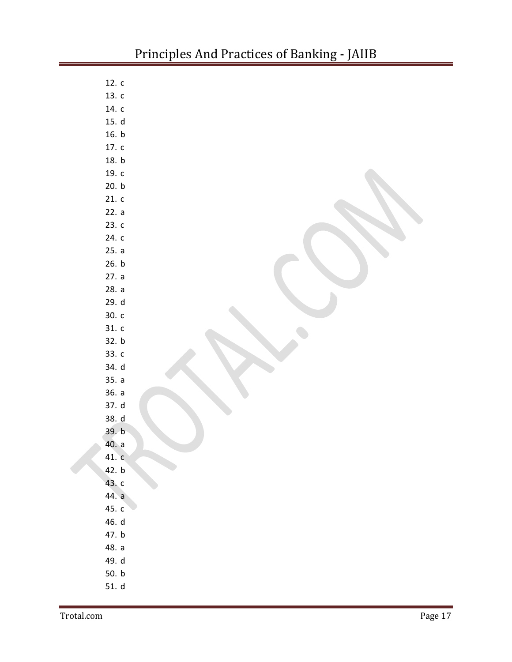| 12. c   |  |
|---------|--|
| 13. c   |  |
| 14. $c$ |  |
| 15. d   |  |
| 16. b   |  |
| 17. c   |  |
| 18. b   |  |
| 19. c   |  |
| 20. b   |  |
| 21. c   |  |
| 22. a   |  |
| 23.c    |  |
| 24. c   |  |
| 25. a   |  |
| 26. b   |  |
| 27. a   |  |
| 28. a   |  |
| 29. d   |  |
| 30. c   |  |
| 31. c   |  |
| 32. b   |  |
| 33. c   |  |
| 34. d   |  |
| 35. a   |  |
| 36. a   |  |
| 37. d   |  |
| 38. d   |  |
| 39. b   |  |
| 40. a   |  |
| 41. c   |  |
| 42. b   |  |
| 43. c   |  |
| 44. a   |  |
| 45. c   |  |
| 46. d   |  |
| 47. b   |  |
| 48. a   |  |
| 49. d   |  |
| 50. b   |  |
| 51. d   |  |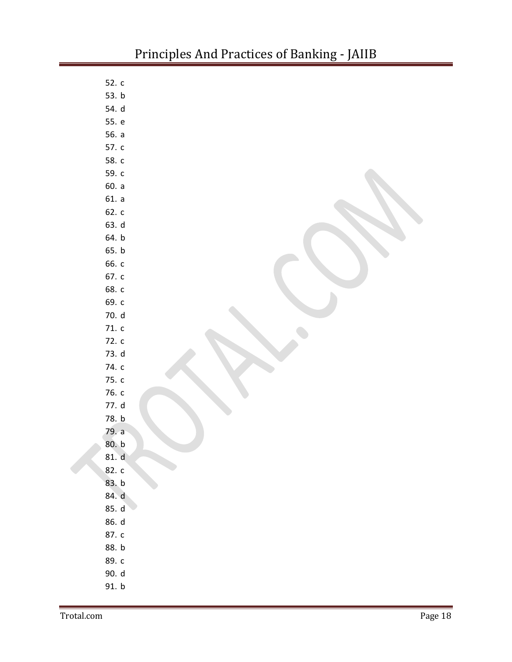